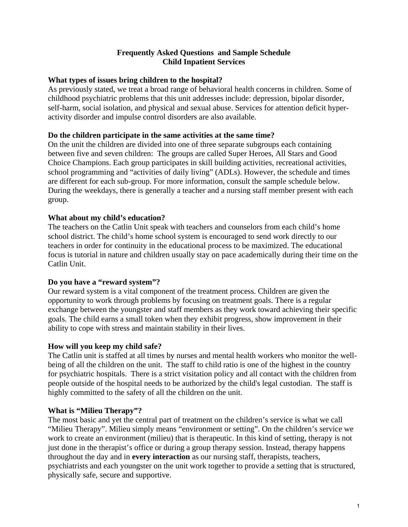## **Frequently Asked Questions and Sample Schedule Child Inpatient Services**

## **What types of issues bring children to the hospital?**

As previously stated, we treat a broad range of behavioral health concerns in children. Some of childhood psychiatric problems that this unit addresses include: depression, bipolar disorder, self-harm, social isolation, and physical and sexual abuse. Services for attention deficit hyperactivity disorder and impulse control disorders are also available.

## **Do the children participate in the same activities at the same time?**

On the unit the children are divided into one of three separate subgroups each containing between five and seven children: The groups are called Super Heroes, All Stars and Good Choice Champions. Each group participates in skill building activities, recreational activities, school programming and "activities of daily living" (ADLs). However, the schedule and times are different for each sub-group. For more information, consult the sample schedule below. During the weekdays, there is generally a teacher and a nursing staff member present with each group.

## **What about my child's education?**

The teachers on the Catlin Unit speak with teachers and counselors from each child's home school district. The child's home school system is encouraged to send work directly to our teachers in order for continuity in the educational process to be maximized. The educational focus is tutorial in nature and children usually stay on pace academically during their time on the Catlin Unit.

## **Do you have a "reward system"?**

Our reward system is a vital component of the treatment process. Children are given the opportunity to work through problems by focusing on treatment goals. There is a regular exchange between the youngster and staff members as they work toward achieving their specific goals. The child earns a small token when they exhibit progress, show improvement in their ability to cope with stress and maintain stability in their lives.

#### **How will you keep my child safe?**

The Catlin unit is staffed at all times by nurses and mental health workers who monitor the wellbeing of all the children on the unit. The staff to child ratio is one of the highest in the country for psychiatric hospitals. There is a strict visitation policy and all contact with the children from people outside of the hospital needs to be authorized by the child's legal custodian. The staff is highly committed to the safety of all the children on the unit.

#### **What is "Milieu Therapy"?**

The most basic and yet the central part of treatment on the children's service is what we call "Milieu Therapy". Milieu simply means "environment or setting". On the children's service we work to create an environment (milieu) that is therapeutic. In this kind of setting, therapy is not just done in the therapist's office or during a group therapy session. Instead, therapy happens throughout the day and in **every interaction** as our nursing staff, therapists, teachers, psychiatrists and each youngster on the unit work together to provide a setting that is structured, physically safe, secure and supportive.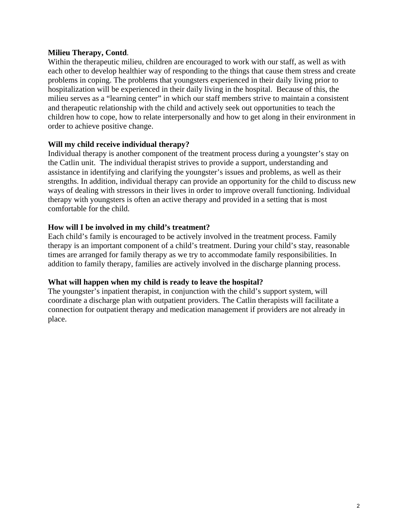## **Milieu Therapy, Contd**.

Within the therapeutic milieu, children are encouraged to work with our staff, as well as with each other to develop healthier way of responding to the things that cause them stress and create problems in coping. The problems that youngsters experienced in their daily living prior to hospitalization will be experienced in their daily living in the hospital. Because of this, the milieu serves as a "learning center" in which our staff members strive to maintain a consistent and therapeutic relationship with the child and actively seek out opportunities to teach the children how to cope, how to relate interpersonally and how to get along in their environment in order to achieve positive change.

## **Will my child receive individual therapy?**

Individual therapy is another component of the treatment process during a youngster's stay on the Catlin unit. The individual therapist strives to provide a support, understanding and assistance in identifying and clarifying the youngster's issues and problems, as well as their strengths. In addition, individual therapy can provide an opportunity for the child to discuss new ways of dealing with stressors in their lives in order to improve overall functioning. Individual therapy with youngsters is often an active therapy and provided in a setting that is most comfortable for the child.

# **How will I be involved in my child's treatment?**

Each child's family is encouraged to be actively involved in the treatment process. Family therapy is an important component of a child's treatment. During your child's stay, reasonable times are arranged for family therapy as we try to accommodate family responsibilities. In addition to family therapy, families are actively involved in the discharge planning process.

#### **What will happen when my child is ready to leave the hospital?**

The youngster's inpatient therapist, in conjunction with the child's support system, will coordinate a discharge plan with outpatient providers. The Catlin therapists will facilitate a connection for outpatient therapy and medication management if providers are not already in place.